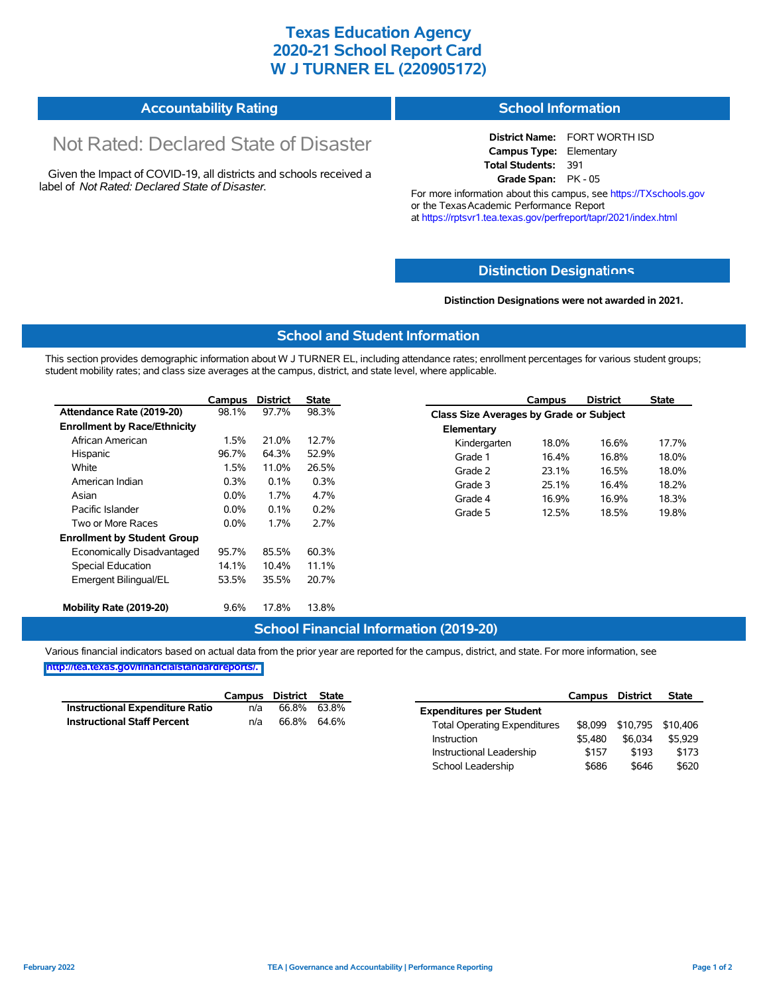## **Texas Education Agency 2020-21 School Report Card W J TURNER EL (220905172)**

| <b>Accountability Rating</b> | <b>School Information</b> |
|------------------------------|---------------------------|
|------------------------------|---------------------------|

# Not Rated: Declared State of Disaster

Given the Impact of COVID-19, all districts and schools received a label of *Not Rated: Declared State of Disaster.*

**District Name:** FORT WORTH ISD **Campus Type:** Elementary **Total Students:** 391 **Grade Span:** PK - 05

For more information about this campus, see https://TXschools.gov or the Texas Academic Performance Report at https://rptsvr1.tea.texas.gov/perfreport/tapr/2021/index.html

### **Distinction Designat[ions](https://TXschools.gov)**

**Distinction Designations were not awarded in 2021.**

School Leadership  $$686$  \$646 \$620

#### **School and Student Information**

This section provides demographic information about W J TURNER EL, including attendance rates; enrollment percentages for various student groups; student mobility rates; and class size averages at the campus, district, and state level, where applicable.

|                                     | Campus  | <b>District</b> | <b>State</b> |              | Campus                                  | <b>District</b> | <b>State</b> |  |  |
|-------------------------------------|---------|-----------------|--------------|--------------|-----------------------------------------|-----------------|--------------|--|--|
| Attendance Rate (2019-20)           | 98.1%   | 97.7%           | 98.3%        |              | Class Size Averages by Grade or Subject |                 |              |  |  |
| <b>Enrollment by Race/Ethnicity</b> |         |                 |              | Elementary   |                                         |                 |              |  |  |
| African American                    | 1.5%    | 21.0%           | 12.7%        | Kindergarten | 18.0%                                   | 16.6%           | 17.7%        |  |  |
| Hispanic                            | 96.7%   | 64.3%           | 52.9%        | Grade 1      | 16.4%                                   | 16.8%           | 18.0%        |  |  |
| White                               | 1.5%    | 11.0%           | 26.5%        | Grade 2      | 23.1%                                   | 16.5%           | 18.0%        |  |  |
| American Indian                     | 0.3%    | 0.1%            | 0.3%         | Grade 3      | 25.1%                                   | 16.4%           | 18.2%        |  |  |
| Asian                               | $0.0\%$ | 1.7%            | 4.7%         | Grade 4      | 16.9%                                   | 16.9%           | 18.3%        |  |  |
| Pacific Islander                    | $0.0\%$ | 0.1%            | 0.2%         | Grade 5      | 12.5%                                   | 18.5%           | 19.8%        |  |  |
| Two or More Races                   | $0.0\%$ | 1.7%            | 2.7%         |              |                                         |                 |              |  |  |
| <b>Enrollment by Student Group</b>  |         |                 |              |              |                                         |                 |              |  |  |
| Economically Disadvantaged          | 95.7%   | 85.5%           | 60.3%        |              |                                         |                 |              |  |  |
| Special Education                   | 14.1%   | 10.4%           | 11.1%        |              |                                         |                 |              |  |  |
| Emergent Bilingual/EL               | 53.5%   | 35.5%           | 20.7%        |              |                                         |                 |              |  |  |
|                                     |         |                 |              |              |                                         |                 |              |  |  |
| Mobility Rate (2019-20)             | 9.6%    | 17.8%           | 13.8%        |              |                                         |                 |              |  |  |

#### **School Financial Information (2019-20)**

Various financial indicators based on actual data from the prior year are reported for the campus, district, and state. For more information, see

**[http://tea.texas.gov/financialstandardreports/.](http://tea.texas.gov/financialstandardreports/)**

|                                        | Campus | District | State |                                     | Campus  | <b>District</b>           | <b>State</b> |
|----------------------------------------|--------|----------|-------|-------------------------------------|---------|---------------------------|--------------|
| <b>Instructional Expenditure Ratio</b> | n/a    | 66.8%    | 63.8% | <b>Expenditures per Student</b>     |         |                           |              |
| <b>Instructional Staff Percent</b>     | n/a    | 66.8%    | 64.6% | <b>Total Operating Expenditures</b> |         | \$8,099 \$10,795 \$10,406 |              |
|                                        |        |          |       | Instruction                         | \$5.480 | \$6,034                   | \$5.929      |
|                                        |        |          |       | Instructional Leadership            | \$157   | \$193                     | \$173        |